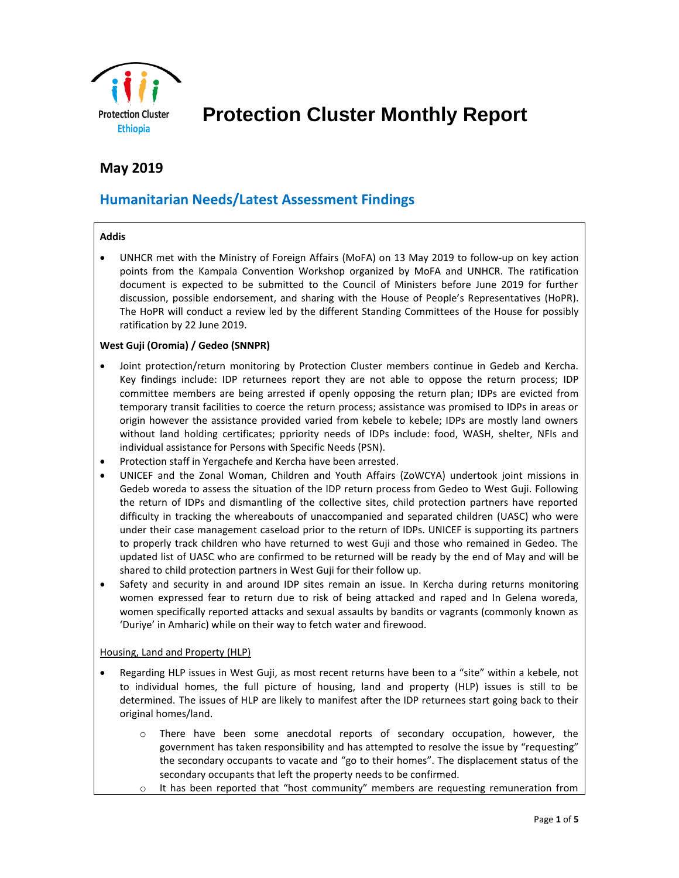

# **Protection Cluster Monthly Report**

# **May 2019**

## **Humanitarian Needs/Latest Assessment Findings**

#### **Addis**

• UNHCR met with the Ministry of Foreign Affairs (MoFA) on 13 May 2019 to follow-up on key action points from the Kampala Convention Workshop organized by MoFA and UNHCR. The ratification document is expected to be submitted to the Council of Ministers before June 2019 for further discussion, possible endorsement, and sharing with the House of People's Representatives (HoPR). The HoPR will conduct a review led by the different Standing Committees of the House for possibly ratification by 22 June 2019.

#### **West Guji (Oromia) / Gedeo (SNNPR)**

- Joint protection/return monitoring by Protection Cluster members continue in Gedeb and Kercha. Key findings include: IDP returnees report they are not able to oppose the return process; IDP committee members are being arrested if openly opposing the return plan; IDPs are evicted from temporary transit facilities to coerce the return process; assistance was promised to IDPs in areas or origin however the assistance provided varied from kebele to kebele; IDPs are mostly land owners without land holding certificates; ppriority needs of IDPs include: food, WASH, shelter, NFIs and individual assistance for Persons with Specific Needs (PSN).
- Protection staff in Yergachefe and Kercha have been arrested.
- UNICEF and the Zonal Woman, Children and Youth Affairs (ZoWCYA) undertook joint missions in Gedeb woreda to assess the situation of the IDP return process from Gedeo to West Guji. Following the return of IDPs and dismantling of the collective sites, child protection partners have reported difficulty in tracking the whereabouts of unaccompanied and separated children (UASC) who were under their case management caseload prior to the return of IDPs. UNICEF is supporting its partners to properly track children who have returned to west Guji and those who remained in Gedeo. The updated list of UASC who are confirmed to be returned will be ready by the end of May and will be shared to child protection partners in West Guji for their follow up.
- Safety and security in and around IDP sites remain an issue. In Kercha during returns monitoring women expressed fear to return due to risk of being attacked and raped and In Gelena woreda, women specifically reported attacks and sexual assaults by bandits or vagrants (commonly known as 'Duriye' in Amharic) while on their way to fetch water and firewood.

#### Housing, Land and Property (HLP)

- Regarding HLP issues in West Guji, as most recent returns have been to a "site" within a kebele, not to individual homes, the full picture of housing, land and property (HLP) issues is still to be determined. The issues of HLP are likely to manifest after the IDP returnees start going back to their original homes/land.
	- There have been some anecdotal reports of secondary occupation, however, the government has taken responsibility and has attempted to resolve the issue by "requesting" the secondary occupants to vacate and "go to their homes". The displacement status of the secondary occupants that left the property needs to be confirmed.
	- $\circ$  It has been reported that "host community" members are requesting remuneration from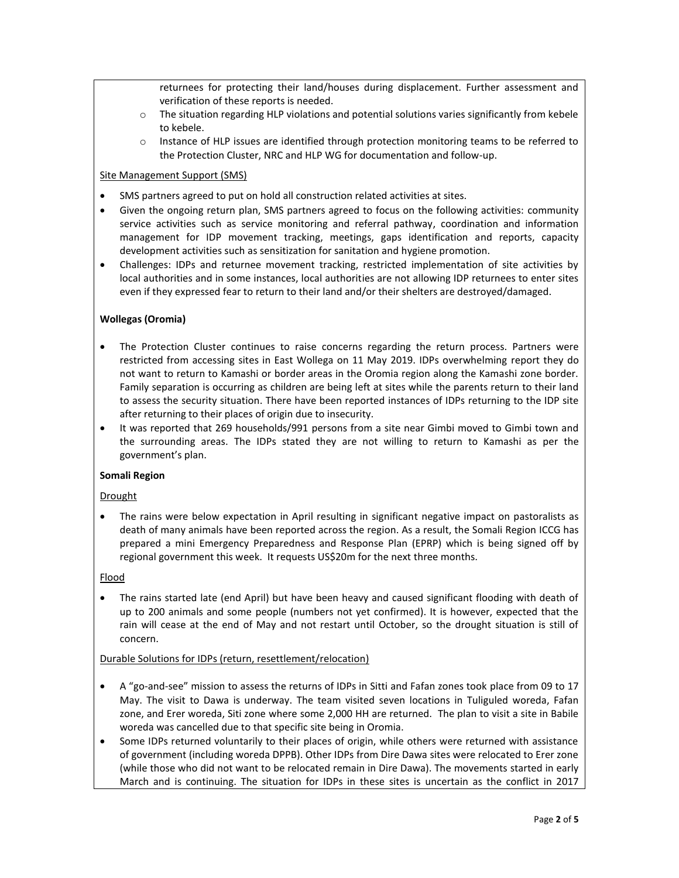returnees for protecting their land/houses during displacement. Further assessment and verification of these reports is needed.

- $\circ$  The situation regarding HLP violations and potential solutions varies significantly from kebele to kebele.
- o Instance of HLP issues are identified through protection monitoring teams to be referred to the Protection Cluster, NRC and HLP WG for documentation and follow-up.

#### Site Management Support (SMS)

- SMS partners agreed to put on hold all construction related activities at sites.
- Given the ongoing return plan, SMS partners agreed to focus on the following activities: community service activities such as service monitoring and referral pathway, coordination and information management for IDP movement tracking, meetings, gaps identification and reports, capacity development activities such as sensitization for sanitation and hygiene promotion.
- Challenges: IDPs and returnee movement tracking, restricted implementation of site activities by local authorities and in some instances, local authorities are not allowing IDP returnees to enter sites even if they expressed fear to return to their land and/or their shelters are destroyed/damaged.

#### **Wollegas (Oromia)**

- The Protection Cluster continues to raise concerns regarding the return process. Partners were restricted from accessing sites in East Wollega on 11 May 2019. IDPs overwhelming report they do not want to return to Kamashi or border areas in the Oromia region along the Kamashi zone border. Family separation is occurring as children are being left at sites while the parents return to their land to assess the security situation. There have been reported instances of IDPs returning to the IDP site after returning to their places of origin due to insecurity.
- It was reported that 269 households/991 persons from a site near Gimbi moved to Gimbi town and the surrounding areas. The IDPs stated they are not willing to return to Kamashi as per the government's plan.

#### **Somali Region**

#### Drought

• The rains were below expectation in April resulting in significant negative impact on pastoralists as death of many animals have been reported across the region. As a result, the Somali Region ICCG has prepared a mini Emergency Preparedness and Response Plan (EPRP) which is being signed off by regional government this week. It requests US\$20m for the next three months.

#### Flood

• The rains started late (end April) but have been heavy and caused significant flooding with death of up to 200 animals and some people (numbers not yet confirmed). It is however, expected that the rain will cease at the end of May and not restart until October, so the drought situation is still of concern.

#### Durable Solutions for IDPs (return, resettlement/relocation)

- A "go-and-see" mission to assess the returns of IDPs in Sitti and Fafan zones took place from 09 to 17 May. The visit to Dawa is underway. The team visited seven locations in Tuliguled woreda, Fafan zone, and Erer woreda, Siti zone where some 2,000 HH are returned. The plan to visit a site in Babile woreda was cancelled due to that specific site being in Oromia.
- Some IDPs returned voluntarily to their places of origin, while others were returned with assistance of government (including woreda DPPB). Other IDPs from Dire Dawa sites were relocated to Erer zone (while those who did not want to be relocated remain in Dire Dawa). The movements started in early March and is continuing. The situation for IDPs in these sites is uncertain as the conflict in 2017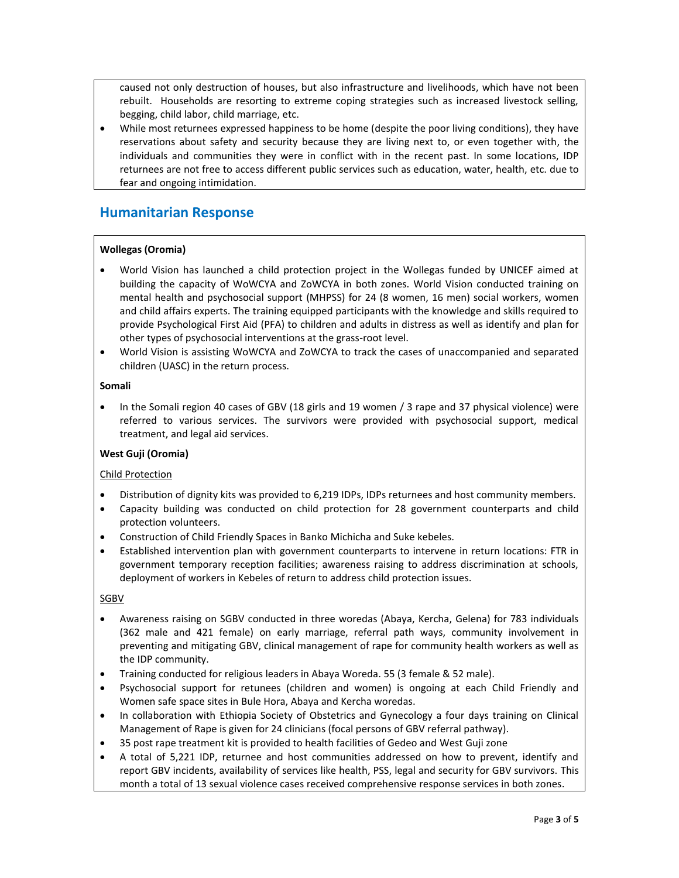caused not only destruction of houses, but also infrastructure and livelihoods, which have not been rebuilt. Households are resorting to extreme coping strategies such as increased livestock selling, begging, child labor, child marriage, etc.

• While most returnees expressed happiness to be home (despite the poor living conditions), they have reservations about safety and security because they are living next to, or even together with, the individuals and communities they were in conflict with in the recent past. In some locations, IDP returnees are not free to access different public services such as education, water, health, etc. due to fear and ongoing intimidation.

# **Humanitarian Response**

#### **Wollegas (Oromia)**

- World Vision has launched a child protection project in the Wollegas funded by UNICEF aimed at building the capacity of WoWCYA and ZoWCYA in both zones. World Vision conducted training on mental health and psychosocial support (MHPSS) for 24 (8 women, 16 men) social workers, women and child affairs experts. The training equipped participants with the knowledge and skills required to provide Psychological First Aid (PFA) to children and adults in distress as well as identify and plan for other types of psychosocial interventions at the grass-root level.
- World Vision is assisting WoWCYA and ZoWCYA to track the cases of unaccompanied and separated children (UASC) in the return process.

#### **Somali**

• In the Somali region 40 cases of GBV (18 girls and 19 women / 3 rape and 37 physical violence) were referred to various services. The survivors were provided with psychosocial support, medical treatment, and legal aid services.

#### **West Guji (Oromia)**

#### Child Protection

- Distribution of dignity kits was provided to 6,219 IDPs, IDPs returnees and host community members.
- Capacity building was conducted on child protection for 28 government counterparts and child protection volunteers.
- Construction of Child Friendly Spaces in Banko Michicha and Suke kebeles.
- Established intervention plan with government counterparts to intervene in return locations: FTR in government temporary reception facilities; awareness raising to address discrimination at schools, deployment of workers in Kebeles of return to address child protection issues.

#### **SGBV**

- Awareness raising on SGBV conducted in three woredas (Abaya, Kercha, Gelena) for 783 individuals (362 male and 421 female) on early marriage, referral path ways, community involvement in preventing and mitigating GBV, clinical management of rape for community health workers as well as the IDP community.
- Training conducted for religious leaders in Abaya Woreda. 55 (3 female & 52 male).
- Psychosocial support for retunees (children and women) is ongoing at each Child Friendly and Women safe space sites in Bule Hora, Abaya and Kercha woredas.
- In collaboration with Ethiopia Society of Obstetrics and Gynecology a four days training on Clinical Management of Rape is given for 24 clinicians (focal persons of GBV referral pathway).
- 35 post rape treatment kit is provided to health facilities of Gedeo and West Guji zone
- A total of 5,221 IDP, returnee and host communities addressed on how to prevent, identify and report GBV incidents, availability of services like health, PSS, legal and security for GBV survivors. This month a total of 13 sexual violence cases received comprehensive response services in both zones.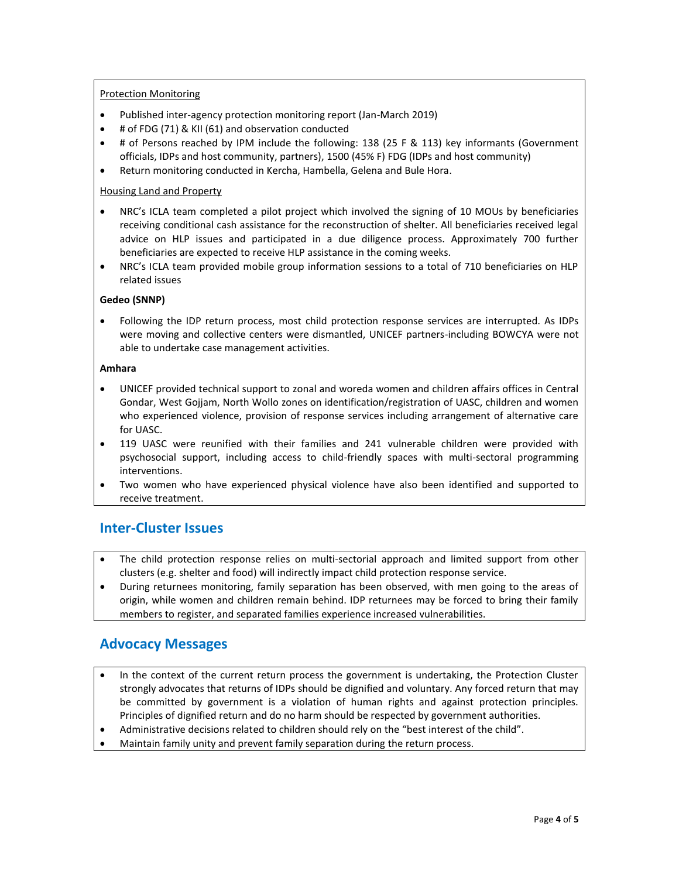#### Protection Monitoring

- Published inter-agency protection monitoring report (Jan-March 2019)
- # of FDG (71) & KII (61) and observation conducted
- # of Persons reached by IPM include the following: 138 (25 F & 113) key informants (Government officials, IDPs and host community, partners), 1500 (45% F) FDG (IDPs and host community)
- Return monitoring conducted in Kercha, Hambella, Gelena and Bule Hora.

#### Housing Land and Property

- NRC's ICLA team completed a pilot project which involved the signing of 10 MOUs by beneficiaries receiving conditional cash assistance for the reconstruction of shelter. All beneficiaries received legal advice on HLP issues and participated in a due diligence process. Approximately 700 further beneficiaries are expected to receive HLP assistance in the coming weeks.
- NRC's ICLA team provided mobile group information sessions to a total of 710 beneficiaries on HLP related issues

#### **Gedeo (SNNP)**

• Following the IDP return process, most child protection response services are interrupted. As IDPs were moving and collective centers were dismantled, UNICEF partners-including BOWCYA were not able to undertake case management activities.

#### **Amhara**

- UNICEF provided technical support to zonal and woreda women and children affairs offices in Central Gondar, West Gojjam, North Wollo zones on identification/registration of UASC, children and women who experienced violence, provision of response services including arrangement of alternative care for UASC.
- 119 UASC were reunified with their families and 241 vulnerable children were provided with psychosocial support, including access to child-friendly spaces with multi-sectoral programming interventions.
- Two women who have experienced physical violence have also been identified and supported to receive treatment.

### **Inter-Cluster Issues**

- The child protection response relies on multi-sectorial approach and limited support from other clusters (e.g. shelter and food) will indirectly impact child protection response service.
- During returnees monitoring, family separation has been observed, with men going to the areas of origin, while women and children remain behind. IDP returnees may be forced to bring their family members to register, and separated families experience increased vulnerabilities.

### **Advocacy Messages**

- In the context of the current return process the government is undertaking, the Protection Cluster strongly advocates that returns of IDPs should be dignified and voluntary. Any forced return that may be committed by government is a violation of human rights and against protection principles. Principles of dignified return and do no harm should be respected by government authorities.
- Administrative decisions related to children should rely on the "best interest of the child".
- Maintain family unity and prevent family separation during the return process.